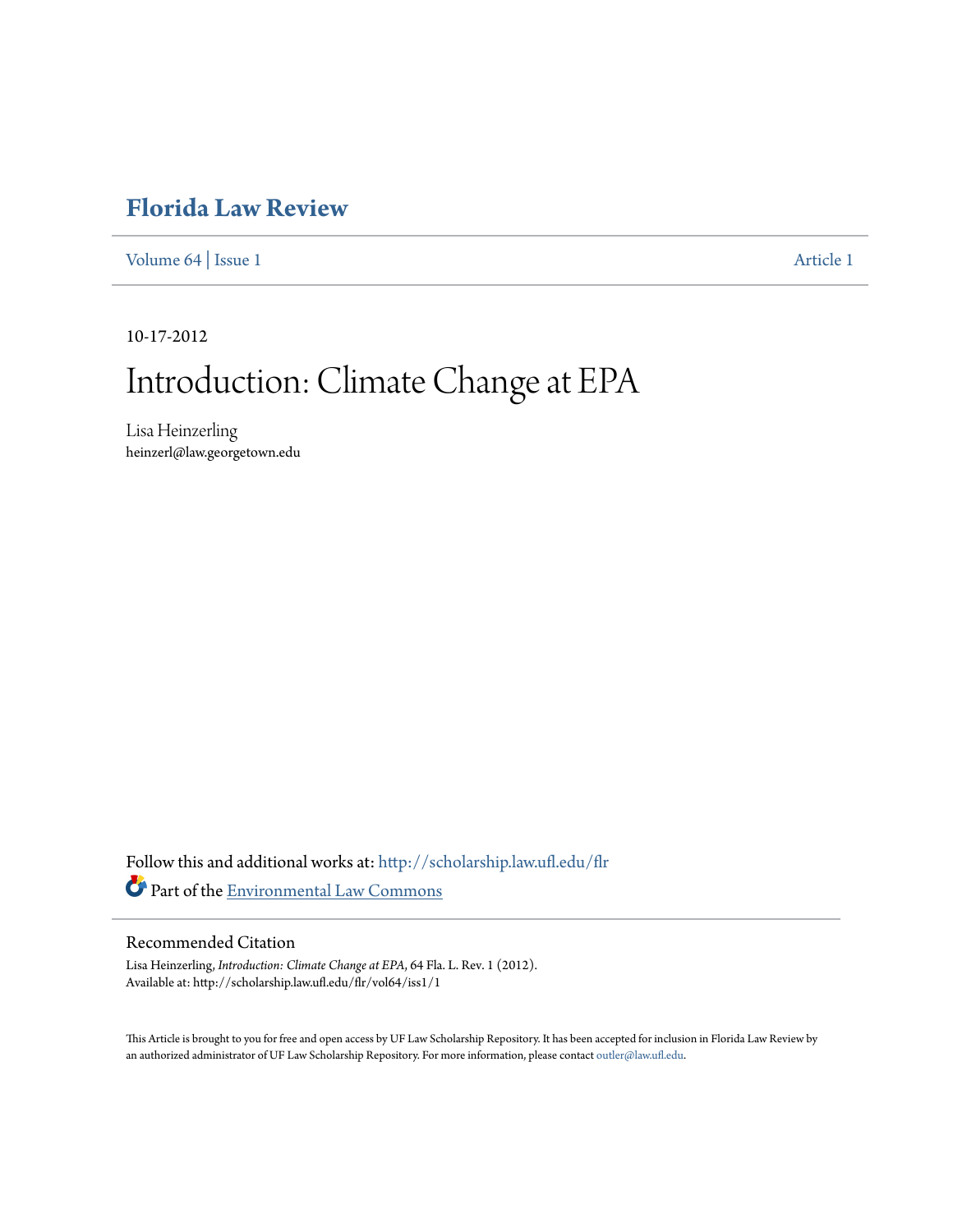# **[Florida Law Review](http://scholarship.law.ufl.edu/flr?utm_source=scholarship.law.ufl.edu%2Fflr%2Fvol64%2Fiss1%2F1&utm_medium=PDF&utm_campaign=PDFCoverPages)**

[Volume 64](http://scholarship.law.ufl.edu/flr/vol64?utm_source=scholarship.law.ufl.edu%2Fflr%2Fvol64%2Fiss1%2F1&utm_medium=PDF&utm_campaign=PDFCoverPages) | [Issue 1](http://scholarship.law.ufl.edu/flr/vol64/iss1?utm_source=scholarship.law.ufl.edu%2Fflr%2Fvol64%2Fiss1%2F1&utm_medium=PDF&utm_campaign=PDFCoverPages) [Article 1](http://scholarship.law.ufl.edu/flr/vol64/iss1/1?utm_source=scholarship.law.ufl.edu%2Fflr%2Fvol64%2Fiss1%2F1&utm_medium=PDF&utm_campaign=PDFCoverPages)

10-17-2012

# Introduction: Climate Change at EPA

Lisa Heinzerling heinzerl@law.georgetown.edu

Follow this and additional works at: [http://scholarship.law.ufl.edu/flr](http://scholarship.law.ufl.edu/flr?utm_source=scholarship.law.ufl.edu%2Fflr%2Fvol64%2Fiss1%2F1&utm_medium=PDF&utm_campaign=PDFCoverPages) Part of the [Environmental Law Commons](http://network.bepress.com/hgg/discipline/599?utm_source=scholarship.law.ufl.edu%2Fflr%2Fvol64%2Fiss1%2F1&utm_medium=PDF&utm_campaign=PDFCoverPages)

# Recommended Citation

Lisa Heinzerling, *Introduction: Climate Change at EPA*, 64 Fla. L. Rev. 1 (2012). Available at: http://scholarship.law.ufl.edu/flr/vol64/iss1/1

This Article is brought to you for free and open access by UF Law Scholarship Repository. It has been accepted for inclusion in Florida Law Review by an authorized administrator of UF Law Scholarship Repository. For more information, please contact [outler@law.ufl.edu](mailto:outler@law.ufl.edu).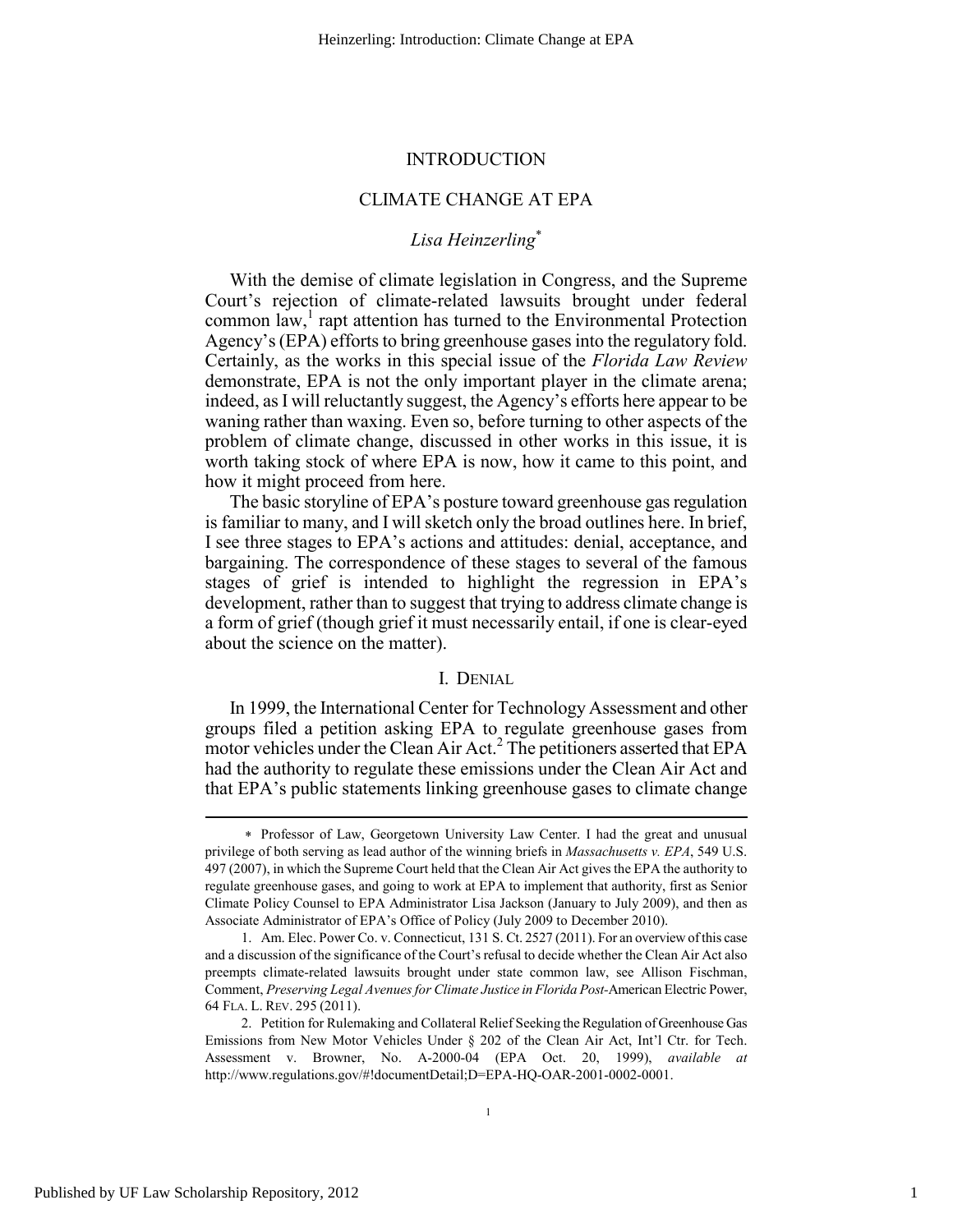# INTRODUCTION

# CLIMATE CHANGE AT EPA

# *Lisa Heinzerling*<sup>∗</sup>

With the demise of climate legislation in Congress, and the Supreme Court's rejection of climate-related lawsuits brought under federal common law,<sup>1</sup> rapt attention has turned to the Environmental Protection Agency's (EPA) efforts to bring greenhouse gases into the regulatory fold. Certainly, as the works in this special issue of the *Florida Law Review* demonstrate, EPA is not the only important player in the climate arena; indeed, as I will reluctantly suggest, the Agency's efforts here appear to be waning rather than waxing. Even so, before turning to other aspects of the problem of climate change, discussed in other works in this issue, it is worth taking stock of where EPA is now, how it came to this point, and how it might proceed from here.

The basic storyline of EPA's posture toward greenhouse gas regulation is familiar to many, and I will sketch only the broad outlines here. In brief, I see three stages to EPA's actions and attitudes: denial, acceptance, and bargaining. The correspondence of these stages to several of the famous stages of grief is intended to highlight the regression in EPA's development, rather than to suggest that trying to address climate change is a form of grief (though grief it must necessarily entail, if one is clear-eyed about the science on the matter).

# I. DENIAL

In 1999, the International Center for Technology Assessment and other groups filed a petition asking EPA to regulate greenhouse gases from  $\frac{1}{2}$  motor vehicles under the Clean Air Act.<sup>2</sup> The petitioners asserted that EPA had the authority to regulate these emissions under the Clean Air Act and that EPA's public statements linking greenhouse gases to climate change

<sup>∗</sup> Professor of Law, Georgetown University Law Center. I had the great and unusual privilege of both serving as lead author of the winning briefs in *Massachusetts v. EPA*, 549 U.S. 497 (2007), in which the Supreme Court held that the Clean Air Act gives the EPA the authority to regulate greenhouse gases, and going to work at EPA to implement that authority, first as Senior Climate Policy Counsel to EPA Administrator Lisa Jackson (January to July 2009), and then as Associate Administrator of EPA's Office of Policy (July 2009 to December 2010).

 <sup>1.</sup> Am. Elec. Power Co. v. Connecticut, 131 S. Ct. 2527 (2011). For an overview of this case and a discussion of the significance of the Court's refusal to decide whether the Clean Air Act also preempts climate-related lawsuits brought under state common law, see Allison Fischman, Comment, *Preserving Legal Avenues for Climate Justice in Florida Post-*American Electric Power, 64 FLA. L. REV. 295 (2011).

 <sup>2.</sup> Petition for Rulemaking and Collateral Relief Seeking the Regulation of Greenhouse Gas Emissions from New Motor Vehicles Under § 202 of the Clean Air Act, Int'l Ctr. for Tech. Assessment v. Browner, No. A-2000-04 (EPA Oct. 20, 1999), *available at* http://www.regulations.gov/#!documentDetail;D=EPA-HQ-OAR-2001-0002-0001.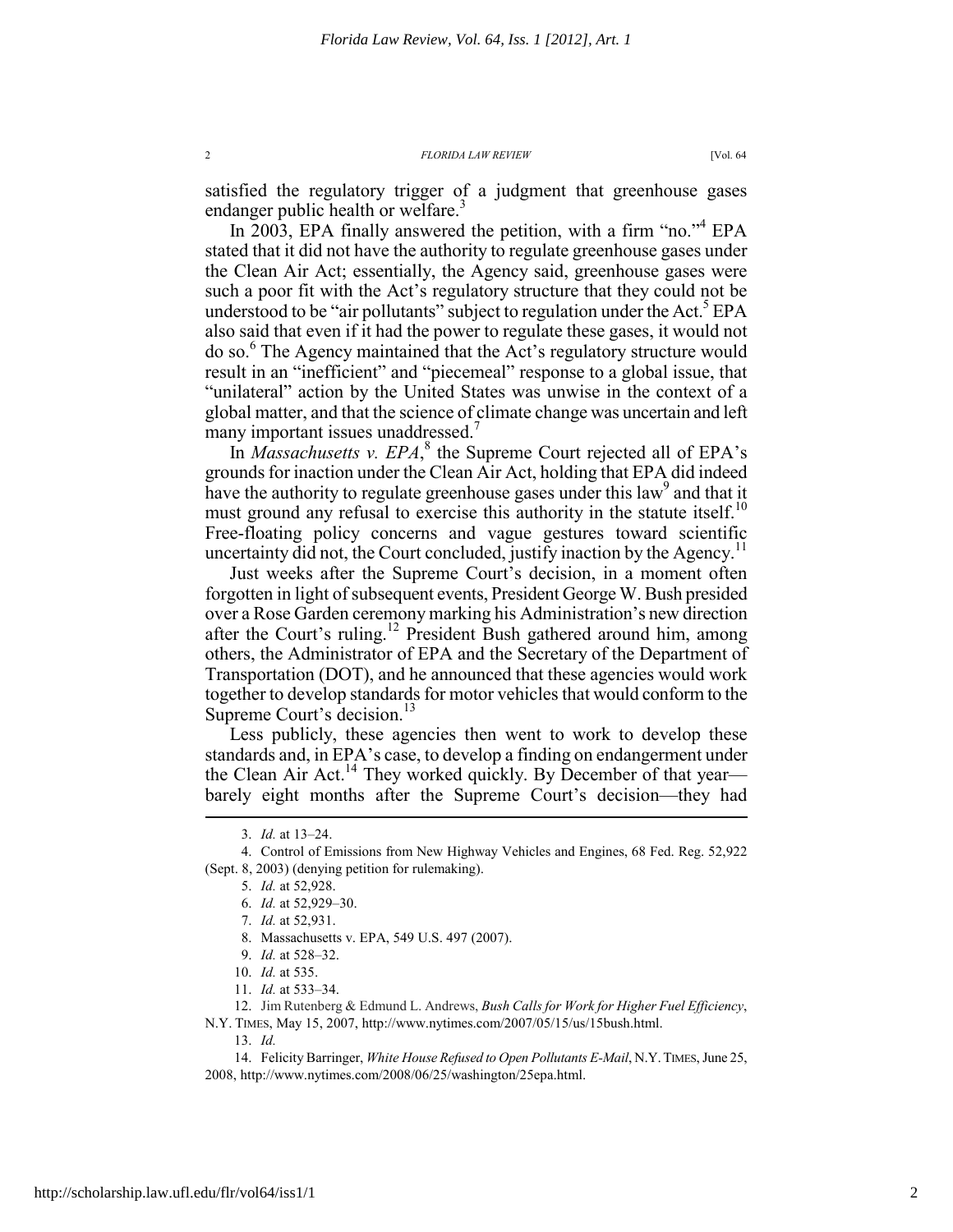satisfied the regulatory trigger of a judgment that greenhouse gases endanger public health or welfare.<sup>3</sup>

In 2003, EPA finally answered the petition, with a firm "no."<sup>4</sup> EPA stated that it did not have the authority to regulate greenhouse gases under the Clean Air Act; essentially, the Agency said, greenhouse gases were such a poor fit with the Act's regulatory structure that they could not be understood to be "air pollutants" subject to regulation under the Act.<sup>5</sup> EPA also said that even if it had the power to regulate these gases, it would not do so.<sup>6</sup> The Agency maintained that the Act's regulatory structure would result in an "inefficient" and "piecemeal" response to a global issue, that "unilateral" action by the United States was unwise in the context of a global matter, and that the science of climate change was uncertain and left many important issues unaddressed.<sup>7</sup>

In *Massachusetts v. EPA*,<sup>8</sup> the Supreme Court rejected all of EPA's grounds for inaction under the Clean Air Act, holding that EPA did indeed have the authority to regulate greenhouse gases under this law<sup>9</sup> and that it must ground any refusal to exercise this authority in the statute itself.<sup>10</sup> Free-floating policy concerns and vague gestures toward scientific uncertainty did not, the Court concluded, justify inaction by the Agency.<sup>11</sup>

Just weeks after the Supreme Court's decision, in a moment often forgotten in light of subsequent events, President George W. Bush presided over a Rose Garden ceremony marking his Administration's new direction after the Court's ruling.<sup>12</sup> President Bush gathered around him, among others, the Administrator of EPA and the Secretary of the Department of Transportation (DOT), and he announced that these agencies would work together to develop standards for motor vehicles that would conform to the Supreme Court's decision.<sup>13</sup>

Less publicly, these agencies then went to work to develop these standards and, in EPA's case, to develop a finding on endangerment under the Clean Air Act.<sup>14</sup> They worked quickly. By December of that year barely eight months after the Supreme Court's decision—they had

 $\overline{a}$ 

 12. Jim Rutenberg & Edmund L. Andrews, *Bush Calls for Work for Higher Fuel Efficiency*, N.Y. TIMES, May 15, 2007, http://www.nytimes.com/2007/05/15/us/15bush.html.

13. *Id.* 

 14. Felicity Barringer, *White House Refused to Open Pollutants E-Mail*, N.Y.TIMES, June 25, 2008, http://www.nytimes.com/2008/06/25/washington/25epa.html.

 <sup>3.</sup> *Id.* at 13–24.

 <sup>4.</sup> Control of Emissions from New Highway Vehicles and Engines, 68 Fed. Reg. 52,922 (Sept. 8, 2003) (denying petition for rulemaking).

 <sup>5.</sup> *Id.* at 52,928.

 <sup>6.</sup> *Id.* at 52,929–30.

 <sup>7.</sup> *Id.* at 52,931.

 <sup>8.</sup> Massachusetts v. EPA, 549 U.S. 497 (2007).

 <sup>9.</sup> *Id.* at 528–32.

 <sup>10.</sup> *Id.* at 535.

 <sup>11.</sup> *Id.* at 533–34.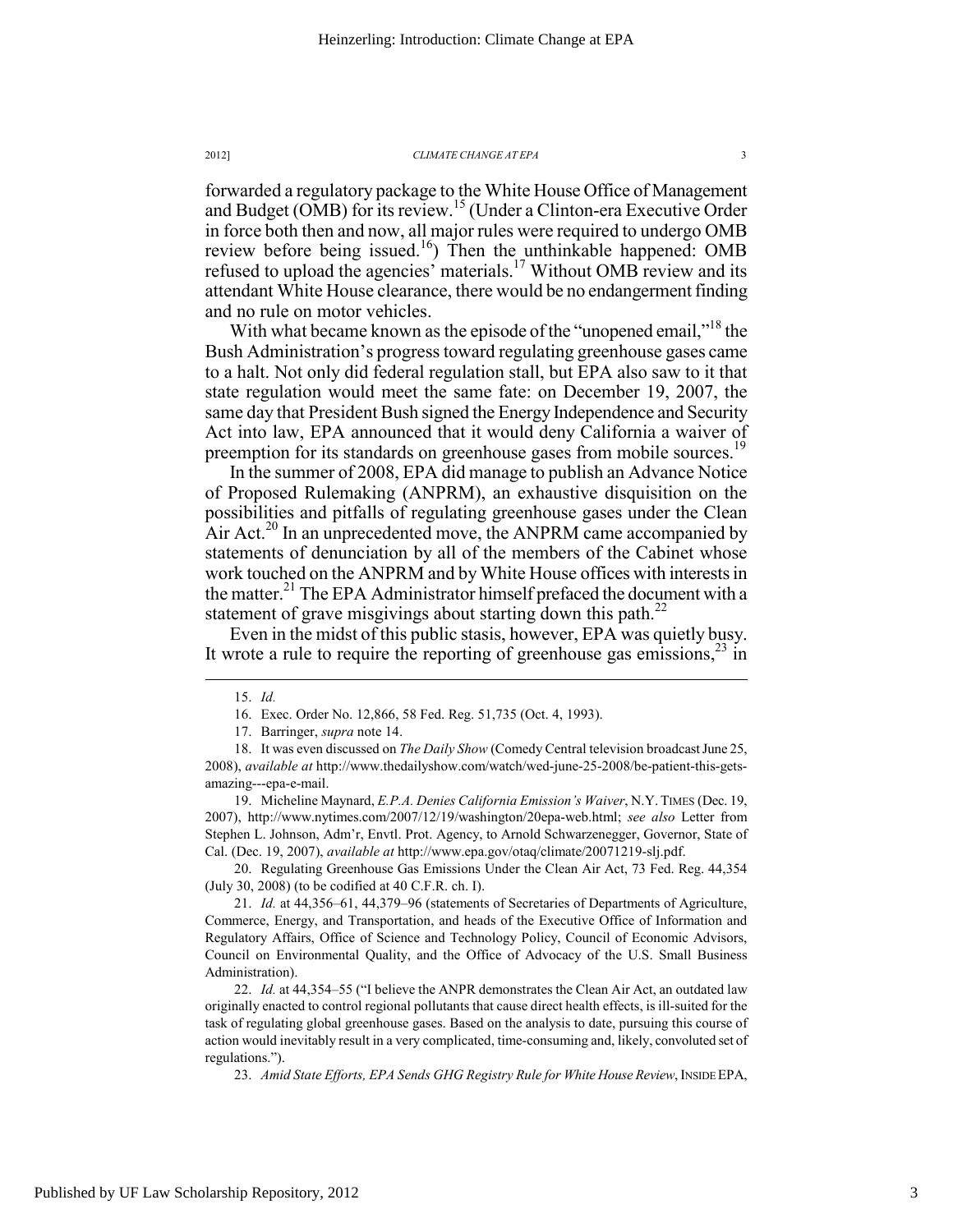forwarded a regulatory package to the White House Office of Management and Budget (OMB) for its review.15 (Under a Clinton-era Executive Order in force both then and now, all major rules were required to undergo OMB review before being issued.<sup>16</sup>) Then the unthinkable happened: OMB refused to upload the agencies' materials.17 Without OMB review and its attendant White House clearance, there would be no endangerment finding and no rule on motor vehicles.

With what became known as the episode of the "unopened email,"<sup>18</sup> the Bush Administration's progress toward regulating greenhouse gases came to a halt. Not only did federal regulation stall, but EPA also saw to it that state regulation would meet the same fate: on December 19, 2007, the same day that President Bush signed the Energy Independence and Security Act into law, EPA announced that it would deny California a waiver of preemption for its standards on greenhouse gases from mobile sources.<sup>19</sup>

In the summer of 2008, EPA did manage to publish an Advance Notice of Proposed Rulemaking (ANPRM), an exhaustive disquisition on the possibilities and pitfalls of regulating greenhouse gases under the Clean Air Act.<sup>20</sup> In an unprecedented move, the ANPRM came accompanied by statements of denunciation by all of the members of the Cabinet whose work touched on the ANPRM and by White House offices with interests in the matter.<sup>21</sup> The EPA Administrator himself prefaced the document with a statement of grave misgivings about starting down this path.<sup>22</sup>

Even in the midst of this public stasis, however, EPA was quietly busy. It wrote a rule to require the reporting of greenhouse gas emissions,  $2<sup>3</sup>$  in

 $\overline{a}$ 

 19. Micheline Maynard, *E.P.A. Denies California Emission's Waiver*, N.Y. TIMES (Dec. 19, 2007), http://www.nytimes.com/2007/12/19/washington/20epa-web.html; *see also* Letter from Stephen L. Johnson, Adm'r, Envtl. Prot. Agency, to Arnold Schwarzenegger, Governor, State of Cal. (Dec. 19, 2007), *available at* http://www.epa.gov/otaq/climate/20071219-slj.pdf.

 20. Regulating Greenhouse Gas Emissions Under the Clean Air Act, 73 Fed. Reg. 44,354 (July 30, 2008) (to be codified at 40 C.F.R. ch. I).

 21. *Id.* at 44,356–61, 44,379–96 (statements of Secretaries of Departments of Agriculture, Commerce, Energy, and Transportation, and heads of the Executive Office of Information and Regulatory Affairs, Office of Science and Technology Policy, Council of Economic Advisors, Council on Environmental Quality, and the Office of Advocacy of the U.S. Small Business Administration).

 22. *Id.* at 44,354–55 ("I believe the ANPR demonstrates the Clean Air Act, an outdated law originally enacted to control regional pollutants that cause direct health effects, is ill-suited for the task of regulating global greenhouse gases. Based on the analysis to date, pursuing this course of action would inevitably result in a very complicated, time-consuming and, likely, convoluted set of regulations.").

23. *Amid State Efforts, EPA Sends GHG Registry Rule for White House Review*, INSIDE EPA,

 <sup>15.</sup> *Id.* 

 <sup>16.</sup> Exec. Order No. 12,866, 58 Fed. Reg. 51,735 (Oct. 4, 1993).

 <sup>17.</sup> Barringer, *supra* note 14.

 <sup>18.</sup> It was even discussed on *The Daily Show* (Comedy Central television broadcast June 25, 2008), *available at* http://www.thedailyshow.com/watch/wed-june-25-2008/be-patient-this-getsamazing---epa-e-mail.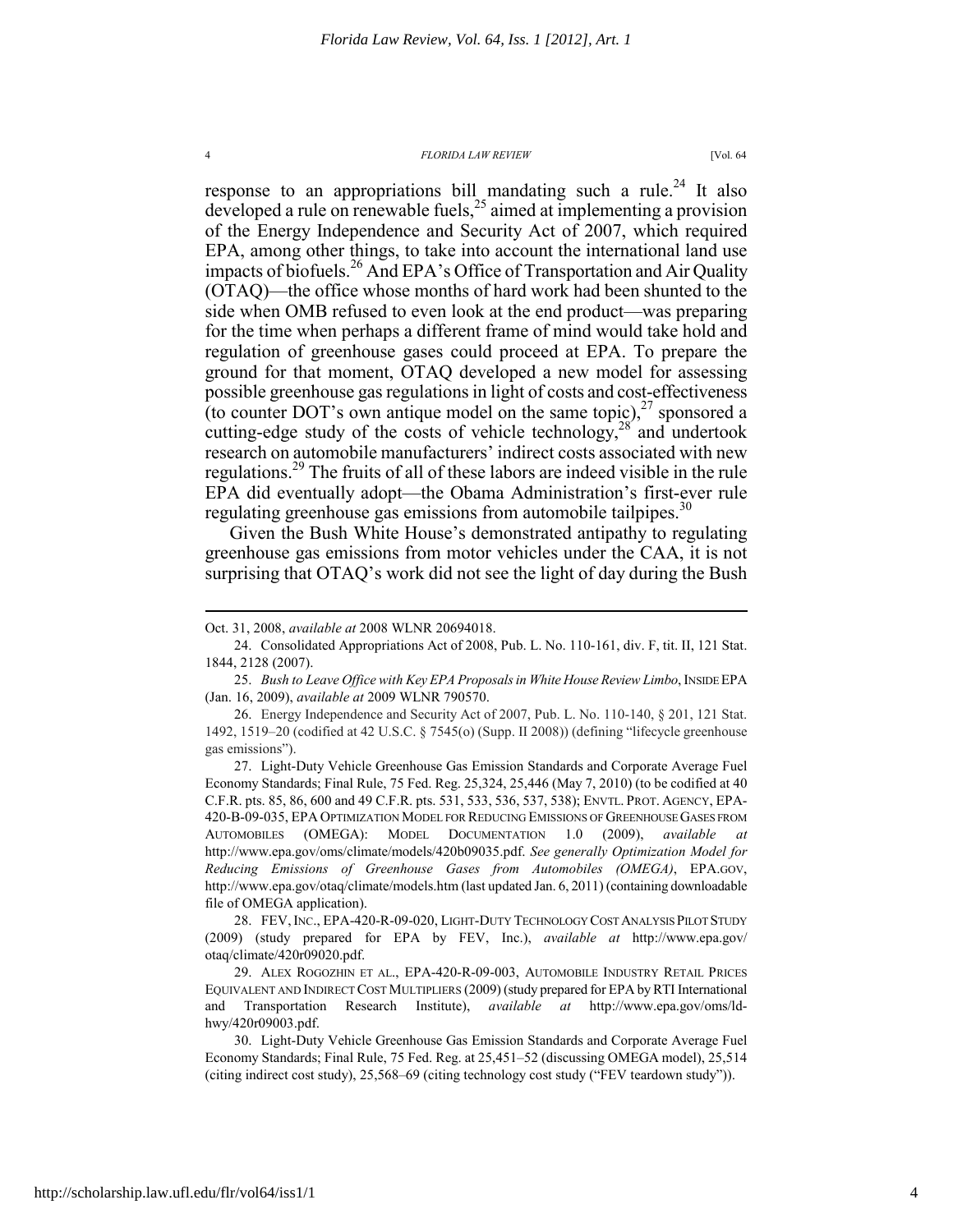response to an appropriations bill mandating such a rule.<sup>24</sup> It also developed a rule on renewable fuels,  $^{25}$  aimed at implementing a provision of the Energy Independence and Security Act of 2007, which required EPA, among other things, to take into account the international land use impacts of biofuels.<sup>26</sup> And EPA's Office of Transportation and Air Quality (OTAQ)—the office whose months of hard work had been shunted to the side when OMB refused to even look at the end product—was preparing for the time when perhaps a different frame of mind would take hold and regulation of greenhouse gases could proceed at EPA. To prepare the ground for that moment, OTAQ developed a new model for assessing possible greenhouse gas regulations in light of costs and cost-effectiveness (to counter DOT's own antique model on the same topic), $27$  sponsored a cutting-edge study of the costs of vehicle technology, $28'$  and undertook research on automobile manufacturers' indirect costs associated with new regulations.<sup>29</sup> The fruits of all of these labors are indeed visible in the rule EPA did eventually adopt—the Obama Administration's first-ever rule regulating greenhouse gas emissions from automobile tailpipes.<sup>3</sup>

Given the Bush White House's demonstrated antipathy to regulating greenhouse gas emissions from motor vehicles under the CAA, it is not surprising that OTAQ's work did not see the light of day during the Bush

 $\overline{a}$ 

 28. FEV,INC., EPA-420-R-09-020, LIGHT-DUTY TECHNOLOGY COST ANALYSIS PILOT STUDY (2009) (study prepared for EPA by FEV, Inc.), *available at* http://www.epa.gov/ otaq/climate/420r09020.pdf.

 29. ALEX ROGOZHIN ET AL., EPA-420-R-09-003, AUTOMOBILE INDUSTRY RETAIL PRICES EQUIVALENT AND INDIRECT COST MULTIPLIERS (2009) (study prepared for EPA by RTI International and Transportation Research Institute), *available at* http://www.epa.gov/oms/ldhwy/420r09003.pdf.

Oct. 31, 2008, *available at* 2008 WLNR 20694018.

 <sup>24.</sup> Consolidated Appropriations Act of 2008, Pub. L. No. 110-161, div. F, tit. II, 121 Stat. 1844, 2128 (2007).

 <sup>25.</sup> *Bush to Leave Office with Key EPA Proposals in White House Review Limbo*, INSIDE EPA (Jan. 16, 2009), *available at* 2009 WLNR 790570.

 <sup>26.</sup> Energy Independence and Security Act of 2007, Pub. L. No. 110-140, § 201, 121 Stat. 1492, 1519–20 (codified at 42 U.S.C. § 7545(o) (Supp. II 2008)) (defining "lifecycle greenhouse gas emissions").

 <sup>27.</sup> Light-Duty Vehicle Greenhouse Gas Emission Standards and Corporate Average Fuel Economy Standards; Final Rule, 75 Fed. Reg. 25,324, 25,446 (May 7, 2010) (to be codified at 40 C.F.R. pts. 85, 86, 600 and 49 C.F.R. pts. 531, 533, 536, 537, 538); ENVTL. PROT. AGENCY, EPA-420-B-09-035, EPA OPTIMIZATION MODEL FOR REDUCING EMISSIONS OF GREENHOUSE GASES FROM AUTOMOBILES (OMEGA): MODEL DOCUMENTATION 1.0 (2009), *available at*  http://www.epa.gov/oms/climate/models/420b09035.pdf. *See generally Optimization Model for Reducing Emissions of Greenhouse Gases from Automobiles (OMEGA)*, EPA.GOV, http://www.epa.gov/otaq/climate/models.htm (last updated Jan. 6, 2011) (containing downloadable file of OMEGA application).

 <sup>30.</sup> Light-Duty Vehicle Greenhouse Gas Emission Standards and Corporate Average Fuel Economy Standards; Final Rule, 75 Fed. Reg. at 25,451–52 (discussing OMEGA model), 25,514 (citing indirect cost study), 25,568–69 (citing technology cost study ("FEV teardown study")).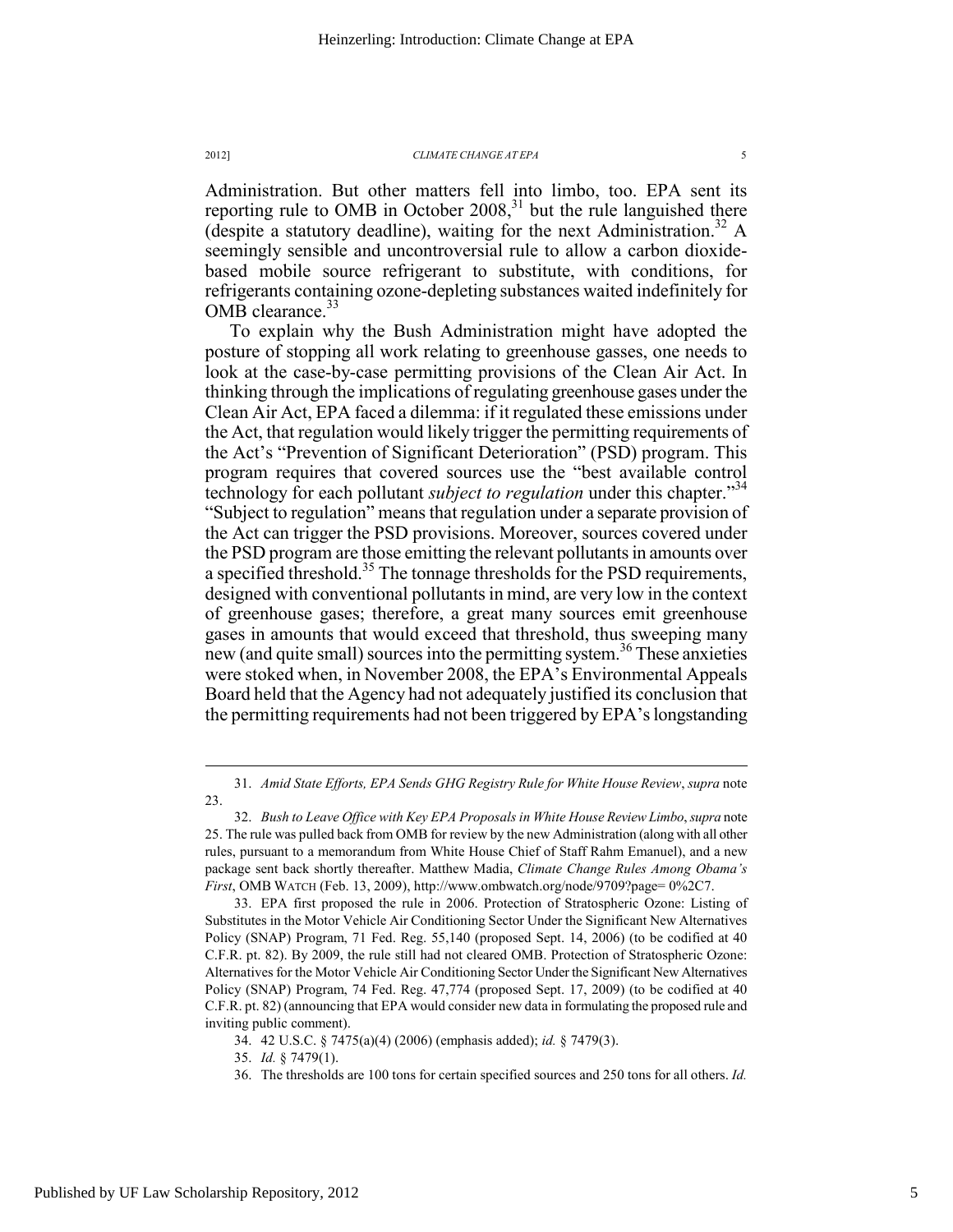Administration. But other matters fell into limbo, too. EPA sent its reporting rule to OMB in October  $2008$ <sup>31</sup>, but the rule languished there (despite a statutory deadline), waiting for the next Administration.<sup>32</sup> A seemingly sensible and uncontroversial rule to allow a carbon dioxidebased mobile source refrigerant to substitute, with conditions, for refrigerants containing ozone-depleting substances waited indefinitely for OMB clearance. $33$ 

To explain why the Bush Administration might have adopted the posture of stopping all work relating to greenhouse gasses, one needs to look at the case-by-case permitting provisions of the Clean Air Act. In thinking through the implications of regulating greenhouse gases under the Clean Air Act, EPA faced a dilemma: if it regulated these emissions under the Act, that regulation would likely trigger the permitting requirements of the Act's "Prevention of Significant Deterioration" (PSD) program. This program requires that covered sources use the "best available control technology for each pollutant *subject to regulation* under this chapter."34 "Subject to regulation" means that regulation under a separate provision of the Act can trigger the PSD provisions. Moreover, sources covered under the PSD program are those emitting the relevant pollutants in amounts over a specified threshold.<sup>35</sup> The tonnage thresholds for the PSD requirements, designed with conventional pollutants in mind, are very low in the context of greenhouse gases; therefore, a great many sources emit greenhouse gases in amounts that would exceed that threshold, thus sweeping many new (and quite small) sources into the permitting system.<sup>36</sup> These anxieties were stoked when, in November 2008, the EPA's Environmental Appeals Board held that the Agency had not adequately justified its conclusion that the permitting requirements had not been triggered by EPA's longstanding

 <sup>31.</sup> *Amid State Efforts, EPA Sends GHG Registry Rule for White House Review*, *supra* note 23.

 <sup>32.</sup> *Bush to Leave Office with Key EPA Proposals in White House Review Limbo*, *supra* note 25. The rule was pulled back from OMB for review by the new Administration (along with all other rules, pursuant to a memorandum from White House Chief of Staff Rahm Emanuel), and a new package sent back shortly thereafter. Matthew Madia, *Climate Change Rules Among Obama's First*, OMB WATCH (Feb. 13, 2009), http://www.ombwatch.org/node/9709?page= 0%2C7.

 <sup>33.</sup> EPA first proposed the rule in 2006. Protection of Stratospheric Ozone: Listing of Substitutes in the Motor Vehicle Air Conditioning Sector Under the Significant New Alternatives Policy (SNAP) Program, 71 Fed. Reg. 55,140 (proposed Sept. 14, 2006) (to be codified at 40 C.F.R. pt. 82). By 2009, the rule still had not cleared OMB. Protection of Stratospheric Ozone: Alternatives for the Motor Vehicle Air Conditioning Sector Under the Significant New Alternatives Policy (SNAP) Program, 74 Fed. Reg. 47,774 (proposed Sept. 17, 2009) (to be codified at 40 C.F.R. pt. 82) (announcing that EPA would consider new data in formulating the proposed rule and inviting public comment).

 <sup>34. 42</sup> U.S.C. § 7475(a)(4) (2006) (emphasis added); *id.* § 7479(3).

 <sup>35.</sup> *Id.* § 7479(1).

 <sup>36.</sup> The thresholds are 100 tons for certain specified sources and 250 tons for all others. *Id.*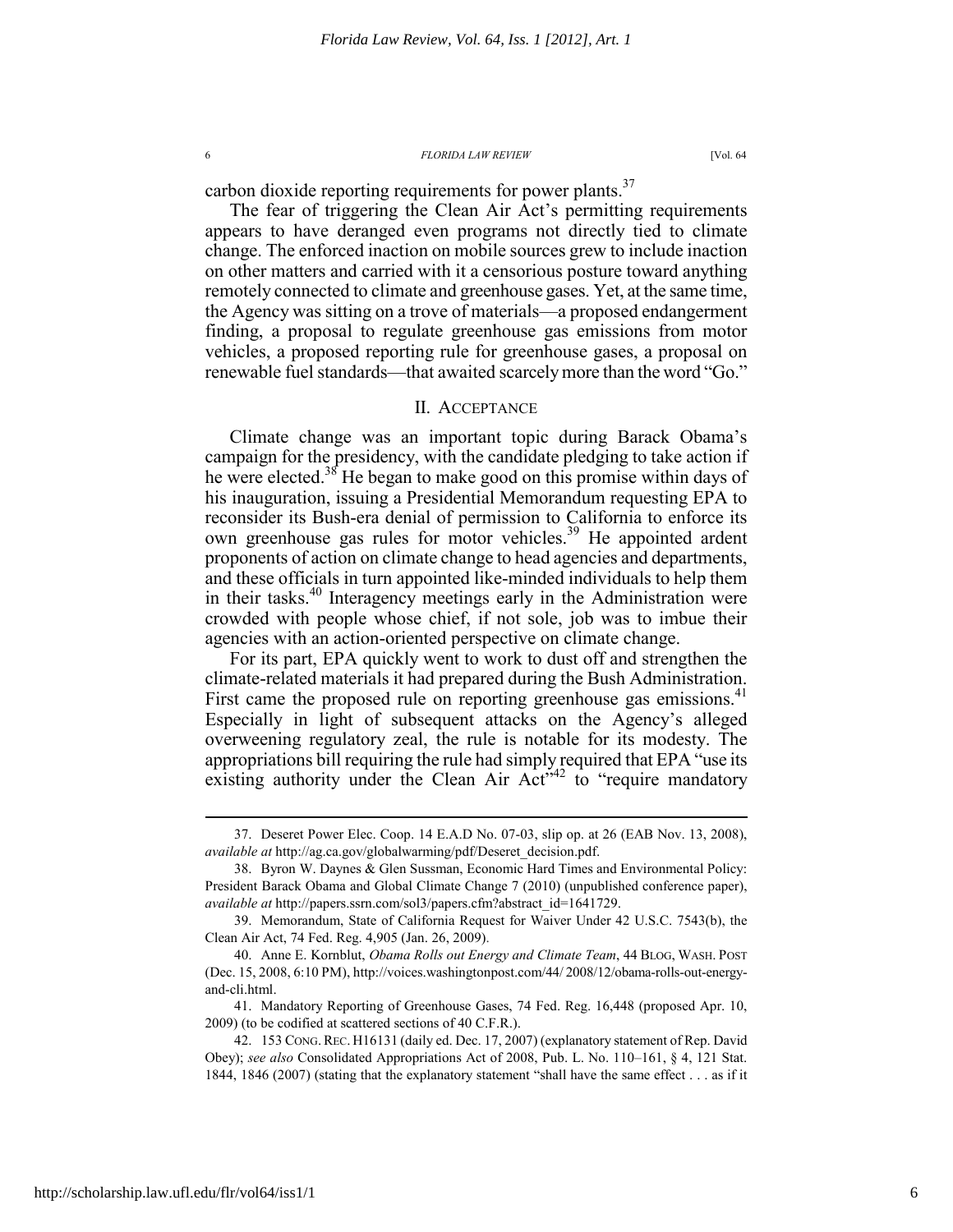carbon dioxide reporting requirements for power plants.<sup>37</sup>

The fear of triggering the Clean Air Act's permitting requirements appears to have deranged even programs not directly tied to climate change. The enforced inaction on mobile sources grew to include inaction on other matters and carried with it a censorious posture toward anything remotely connected to climate and greenhouse gases. Yet, at the same time, the Agency was sitting on a trove of materials—a proposed endangerment finding, a proposal to regulate greenhouse gas emissions from motor vehicles, a proposed reporting rule for greenhouse gases, a proposal on renewable fuel standards—that awaited scarcely more than the word "Go."

# II. ACCEPTANCE

Climate change was an important topic during Barack Obama's campaign for the presidency, with the candidate pledging to take action if he were elected.<sup>38</sup> He began to make good on this promise within days of his inauguration, issuing a Presidential Memorandum requesting EPA to reconsider its Bush-era denial of permission to California to enforce its own greenhouse gas rules for motor vehicles.<sup>39</sup> He appointed ardent proponents of action on climate change to head agencies and departments, and these officials in turn appointed like-minded individuals to help them in their tasks.<sup>40</sup> Interagency meetings early in the Administration were crowded with people whose chief, if not sole, job was to imbue their agencies with an action-oriented perspective on climate change.

For its part, EPA quickly went to work to dust off and strengthen the climate-related materials it had prepared during the Bush Administration. First came the proposed rule on reporting greenhouse gas emissions.<sup>41</sup> Especially in light of subsequent attacks on the Agency's alleged overweening regulatory zeal, the rule is notable for its modesty. The appropriations bill requiring the rule had simply required that EPA "use its existing authority under the Clean Air  $Act<sup>542</sup>$  to "require mandatory

 <sup>37.</sup> Deseret Power Elec. Coop. 14 E.A.D No. 07-03, slip op. at 26 (EAB Nov. 13, 2008), *available at* http://ag.ca.gov/globalwarming/pdf/Deseret\_decision.pdf.

 <sup>38.</sup> Byron W. Daynes & Glen Sussman, Economic Hard Times and Environmental Policy: President Barack Obama and Global Climate Change 7 (2010) (unpublished conference paper), *available at* http://papers.ssrn.com/sol3/papers.cfm?abstract\_id=1641729.

 <sup>39.</sup> Memorandum, State of California Request for Waiver Under 42 U.S.C. 7543(b), the Clean Air Act, 74 Fed. Reg. 4,905 (Jan. 26, 2009).

 <sup>40.</sup> Anne E. Kornblut, *Obama Rolls out Energy and Climate Team*, 44 BLOG, WASH. POST (Dec. 15, 2008, 6:10 PM), http://voices.washingtonpost.com/44/ 2008/12/obama-rolls-out-energyand-cli.html.

 <sup>41.</sup> Mandatory Reporting of Greenhouse Gases, 74 Fed. Reg. 16,448 (proposed Apr. 10, 2009) (to be codified at scattered sections of 40 C.F.R.).

 <sup>42. 153</sup> CONG.REC. H16131 (daily ed. Dec. 17, 2007) (explanatory statement of Rep. David Obey); *see also* Consolidated Appropriations Act of 2008, Pub. L. No. 110–161, § 4, 121 Stat. 1844, 1846 (2007) (stating that the explanatory statement "shall have the same effect . . . as if it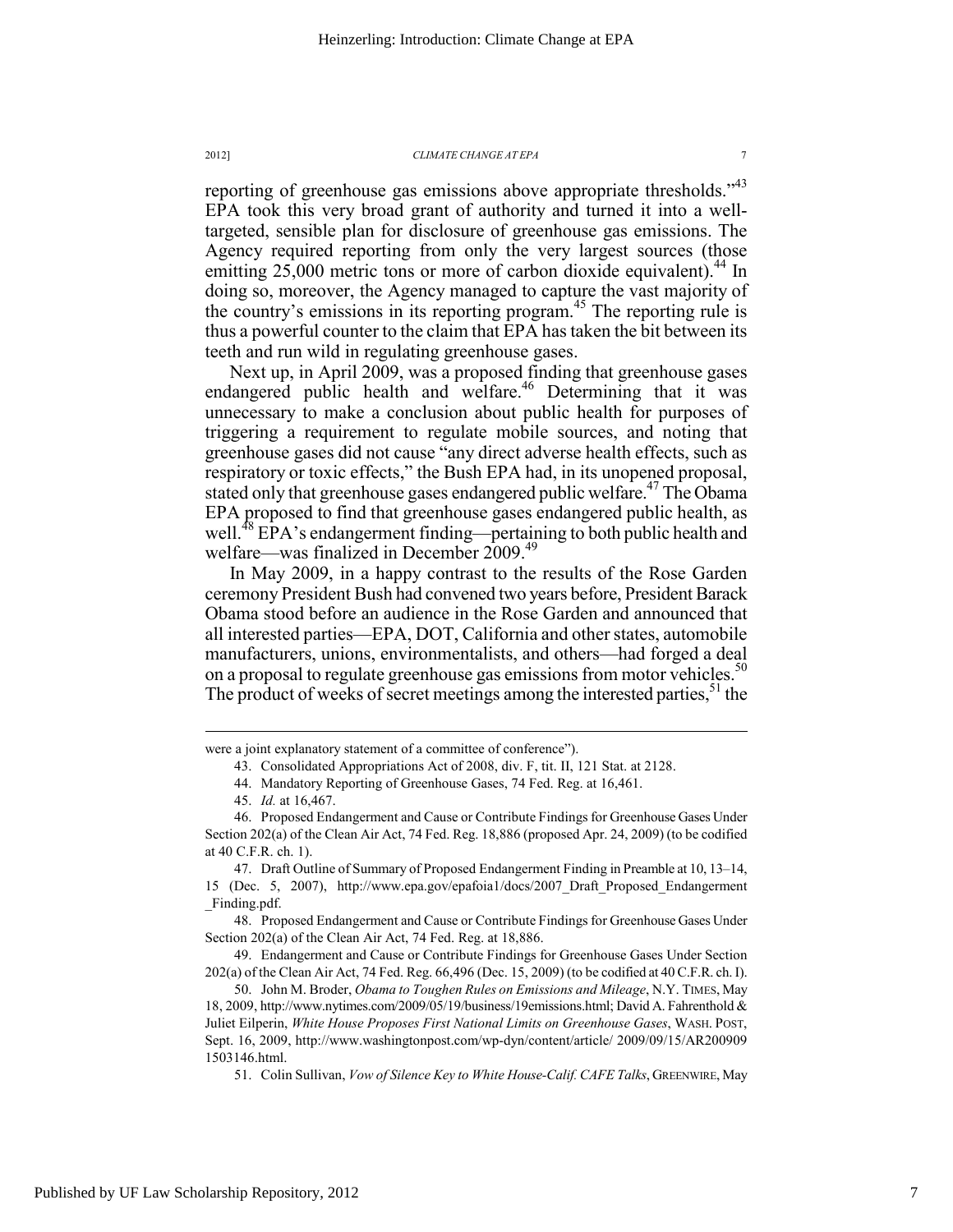reporting of greenhouse gas emissions above appropriate thresholds."<sup>43</sup> EPA took this very broad grant of authority and turned it into a welltargeted, sensible plan for disclosure of greenhouse gas emissions. The Agency required reporting from only the very largest sources (those emitting  $25,000$  metric tons or more of carbon dioxide equivalent).<sup>44</sup> In doing so, moreover, the Agency managed to capture the vast majority of the country's emissions in its reporting program.<sup>45</sup> The reporting rule is thus a powerful counter to the claim that EPA has taken the bit between its teeth and run wild in regulating greenhouse gases.

Next up, in April 2009, was a proposed finding that greenhouse gases endangered public health and welfare.<sup>46</sup> Determining that it was unnecessary to make a conclusion about public health for purposes of triggering a requirement to regulate mobile sources, and noting that greenhouse gases did not cause "any direct adverse health effects, such as respiratory or toxic effects," the Bush EPA had, in its unopened proposal, stated only that greenhouse gases endangered public welfare.<sup>47</sup> The Obama EPA proposed to find that greenhouse gases endangered public health, as well.<sup>48</sup> EPA's endangerment finding—pertaining to both public health and welfare—was finalized in December 2009.<sup>49</sup>

In May 2009, in a happy contrast to the results of the Rose Garden ceremony President Bush had convened two years before, President Barack Obama stood before an audience in the Rose Garden and announced that all interested parties—EPA, DOT, California and other states, automobile manufacturers, unions, environmentalists, and others—had forged a deal on a proposal to regulate greenhouse gas emissions from motor vehicles.<sup>50</sup> The product of weeks of secret meetings among the interested parties,  $5<sup>1</sup>$  the

 $\overline{a}$ 

 48. Proposed Endangerment and Cause or Contribute Findings for Greenhouse Gases Under Section 202(a) of the Clean Air Act, 74 Fed. Reg. at 18,886.

 49. Endangerment and Cause or Contribute Findings for Greenhouse Gases Under Section 202(a) of the Clean Air Act, 74 Fed. Reg. 66,496 (Dec. 15, 2009) (to be codified at 40 C.F.R. ch. I).

 50. John M. Broder, *Obama to Toughen Rules on Emissions and Mileage*, N.Y. TIMES, May 18, 2009, http://www.nytimes.com/2009/05/19/business/19emissions.html; David A. Fahrenthold & Juliet Eilperin, *White House Proposes First National Limits on Greenhouse Gases*, WASH. POST, Sept. 16, 2009, http://www.washingtonpost.com/wp-dyn/content/article/ 2009/09/15/AR200909 1503146.html.

51. Colin Sullivan, *Vow of Silence Key to White House-Calif. CAFE Talks*, GREENWIRE, May

were a joint explanatory statement of a committee of conference").

 <sup>43.</sup> Consolidated Appropriations Act of 2008, div. F, tit. II, 121 Stat. at 2128.

 <sup>44.</sup> Mandatory Reporting of Greenhouse Gases, 74 Fed. Reg. at 16,461.

 <sup>45.</sup> *Id.* at 16,467.

 <sup>46.</sup> Proposed Endangerment and Cause or Contribute Findings for Greenhouse Gases Under Section 202(a) of the Clean Air Act, 74 Fed. Reg. 18,886 (proposed Apr. 24, 2009) (to be codified at 40 C.F.R. ch. 1).

 <sup>47.</sup> Draft Outline of Summary of Proposed Endangerment Finding in Preamble at 10, 13–14, 15 (Dec. 5, 2007), http://www.epa.gov/epafoia1/docs/2007\_Draft\_Proposed\_Endangerment \_Finding.pdf.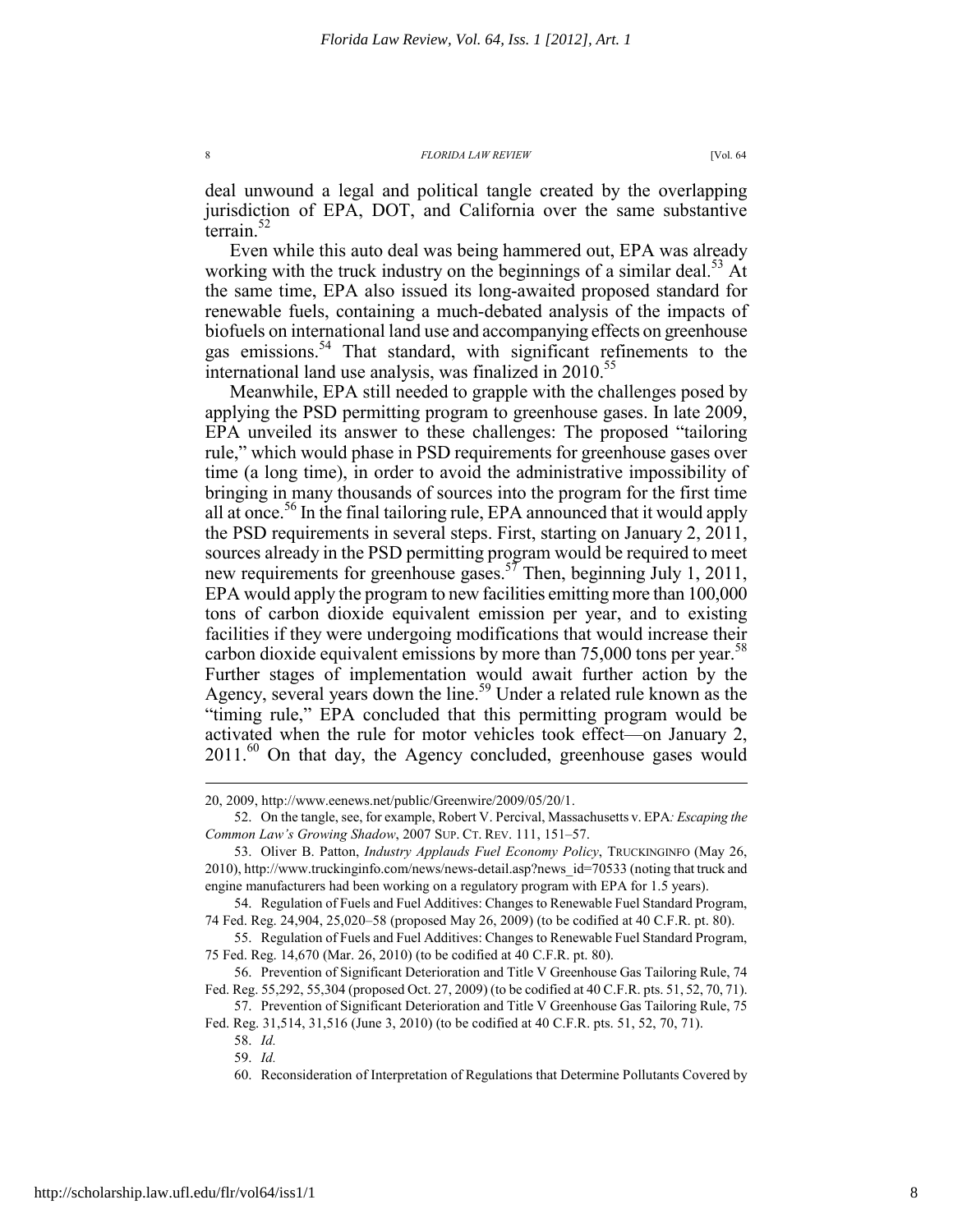deal unwound a legal and political tangle created by the overlapping jurisdiction of EPA, DOT, and California over the same substantive terrain. $52$ 

Even while this auto deal was being hammered out, EPA was already working with the truck industry on the beginnings of a similar deal.<sup>53</sup> At the same time, EPA also issued its long-awaited proposed standard for renewable fuels, containing a much-debated analysis of the impacts of biofuels on international land use and accompanying effects on greenhouse gas emissions.<sup>54</sup> That standard, with significant refinements to the international land use analysis, was finalized in  $2010^{55}$ 

Meanwhile, EPA still needed to grapple with the challenges posed by applying the PSD permitting program to greenhouse gases. In late 2009, EPA unveiled its answer to these challenges: The proposed "tailoring rule," which would phase in PSD requirements for greenhouse gases over time (a long time), in order to avoid the administrative impossibility of bringing in many thousands of sources into the program for the first time all at once.<sup>56</sup> In the final tailoring rule, EPA announced that it would apply the PSD requirements in several steps. First, starting on January 2, 2011, sources already in the PSD permitting program would be required to meet new requirements for greenhouse gases.<sup>57</sup> Then, beginning July 1, 2011, EPA would apply the program to new facilities emitting more than 100,000 tons of carbon dioxide equivalent emission per year, and to existing facilities if they were undergoing modifications that would increase their carbon dioxide equivalent emissions by more than  $75,000$  tons per year.<sup>58</sup> Further stages of implementation would await further action by the Agency, several years down the line.<sup>59</sup> Under a related rule known as the "timing rule," EPA concluded that this permitting program would be activated when the rule for motor vehicles took effect—on January 2,  $2011.^{60}$  On that day, the Agency concluded, greenhouse gases would

 57. Prevention of Significant Deterioration and Title V Greenhouse Gas Tailoring Rule, 75 Fed. Reg. 31,514, 31,516 (June 3, 2010) (to be codified at 40 C.F.R. pts. 51, 52, 70, 71).

<sup>20, 2009,</sup> http://www.eenews.net/public/Greenwire/2009/05/20/1.

 <sup>52.</sup> On the tangle, see, for example, Robert V. Percival, Massachusetts v. EPA*: Escaping the Common Law's Growing Shadow*, 2007 SUP. CT. REV. 111, 151–57.

 <sup>53.</sup> Oliver B. Patton, *Industry Applauds Fuel Economy Policy*, TRUCKINGINFO (May 26, 2010), http://www.truckinginfo.com/news/news-detail.asp?news\_id=70533 (noting that truck and engine manufacturers had been working on a regulatory program with EPA for 1.5 years).

 <sup>54.</sup> Regulation of Fuels and Fuel Additives: Changes to Renewable Fuel Standard Program, 74 Fed. Reg. 24,904, 25,020–58 (proposed May 26, 2009) (to be codified at 40 C.F.R. pt. 80).

 <sup>55.</sup> Regulation of Fuels and Fuel Additives: Changes to Renewable Fuel Standard Program, 75 Fed. Reg. 14,670 (Mar. 26, 2010) (to be codified at 40 C.F.R. pt. 80).

 <sup>56.</sup> Prevention of Significant Deterioration and Title V Greenhouse Gas Tailoring Rule, 74 Fed. Reg. 55,292, 55,304 (proposed Oct. 27, 2009) (to be codified at 40 C.F.R. pts. 51, 52, 70, 71).

 <sup>58.</sup> *Id.*  59. *Id.*

 <sup>60.</sup> Reconsideration of Interpretation of Regulations that Determine Pollutants Covered by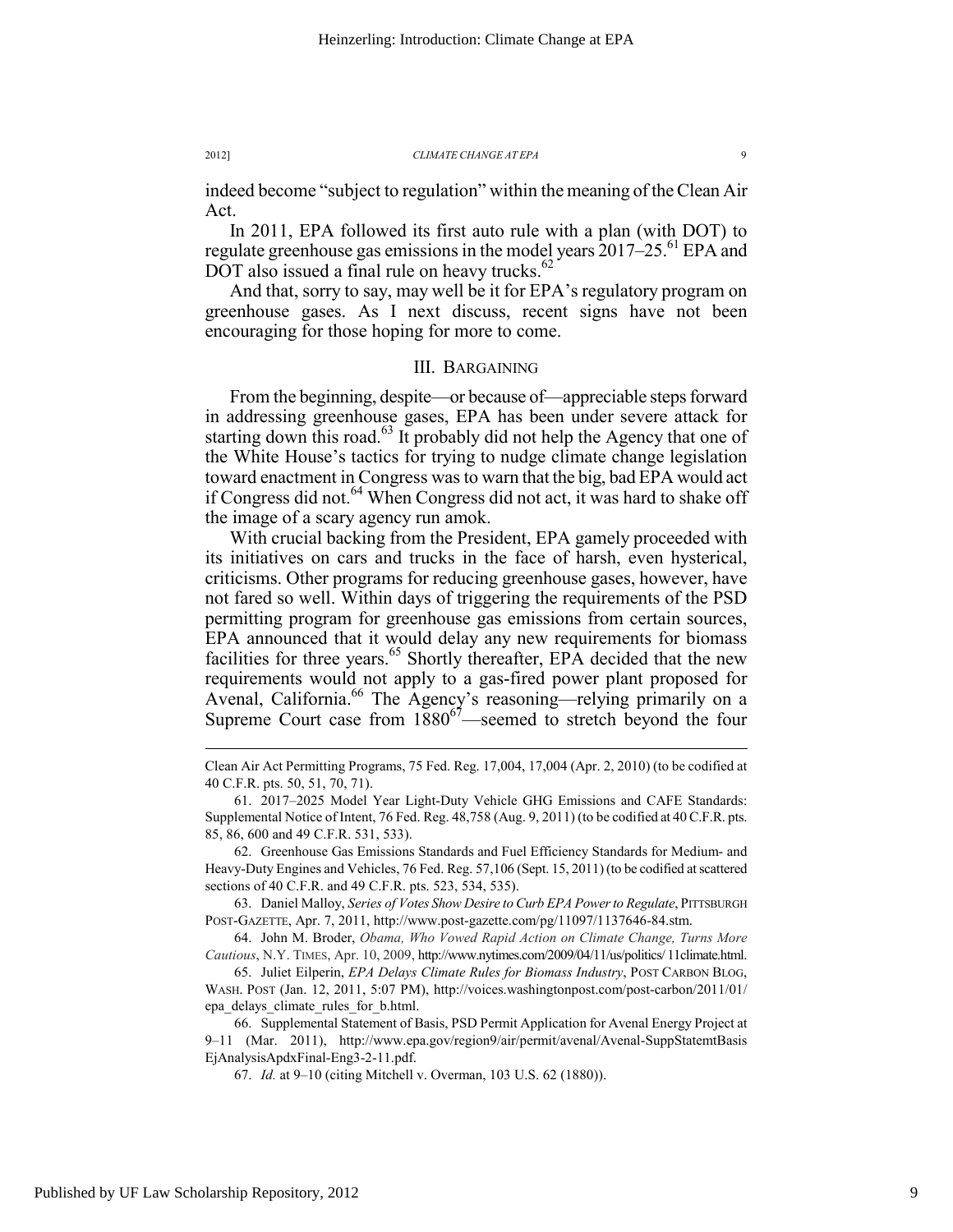indeed become "subject to regulation" within the meaning of the Clean Air Act.

In 2011, EPA followed its first auto rule with a plan (with DOT) to regulate greenhouse gas emissions in the model years 2017–25.<sup>61</sup> EPA and DOT also issued a final rule on heavy trucks. $62$ 

And that, sorry to say, may well be it for EPA's regulatory program on greenhouse gases. As I next discuss, recent signs have not been encouraging for those hoping for more to come.

# III. BARGAINING

From the beginning, despite—or because of—appreciable steps forward in addressing greenhouse gases, EPA has been under severe attack for starting down this road.<sup>63</sup> It probably did not help the Agency that one of the White House's tactics for trying to nudge climate change legislation toward enactment in Congress was to warn that the big, bad EPA would act if Congress did not.<sup>64</sup> When Congress did not act, it was hard to shake off the image of a scary agency run amok.

With crucial backing from the President, EPA gamely proceeded with its initiatives on cars and trucks in the face of harsh, even hysterical, criticisms. Other programs for reducing greenhouse gases, however, have not fared so well. Within days of triggering the requirements of the PSD permitting program for greenhouse gas emissions from certain sources, EPA announced that it would delay any new requirements for biomass facilities for three years.<sup>65</sup> Shortly thereafter, EPA decided that the new requirements would not apply to a gas-fired power plant proposed for Avenal, California.<sup>66</sup> The Agency's reasoning—relying primarily on a Supreme Court case from  $1880^{67}$ —seemed to stretch beyond the four

 62. Greenhouse Gas Emissions Standards and Fuel Efficiency Standards for Medium- and Heavy-Duty Engines and Vehicles, 76 Fed. Reg. 57,106 (Sept. 15, 2011) (to be codified at scattered sections of 40 C.F.R. and 49 C.F.R. pts. 523, 534, 535).

 63. Daniel Malloy, *Series of Votes Show Desire to Curb EPA Power to Regulate*, PITTSBURGH POST-GAZETTE, Apr. 7, 2011, http://www.post-gazette.com/pg/11097/1137646-84.stm.

 64. John M. Broder, *Obama, Who Vowed Rapid Action on Climate Change, Turns More Cautious*, N.Y. TIMES, Apr. 10, 2009, http://www.nytimes.com/2009/04/11/us/politics/ 11climate.html.

 65. Juliet Eilperin, *EPA Delays Climate Rules for Biomass Industry*, POST CARBON BLOG, WASH. POST (Jan. 12, 2011, 5:07 PM), http://voices.washingtonpost.com/post-carbon/2011/01/ epa\_delays\_climate\_rules\_for\_b.html.

 66. Supplemental Statement of Basis, PSD Permit Application for Avenal Energy Project at 9–11 (Mar. 2011), http://www.epa.gov/region9/air/permit/avenal/Avenal-SuppStatemtBasis EjAnalysisApdxFinal-Eng3-2-11.pdf.

67. *Id.* at 9–10 (citing Mitchell v. Overman, 103 U.S. 62 (1880)).

Clean Air Act Permitting Programs, 75 Fed. Reg. 17,004, 17,004 (Apr. 2, 2010) (to be codified at 40 C.F.R. pts. 50, 51, 70, 71).

 <sup>61. 2017–2025</sup> Model Year Light-Duty Vehicle GHG Emissions and CAFE Standards: Supplemental Notice of Intent, 76 Fed. Reg. 48,758 (Aug. 9, 2011) (to be codified at 40 C.F.R. pts. 85, 86, 600 and 49 C.F.R. 531, 533).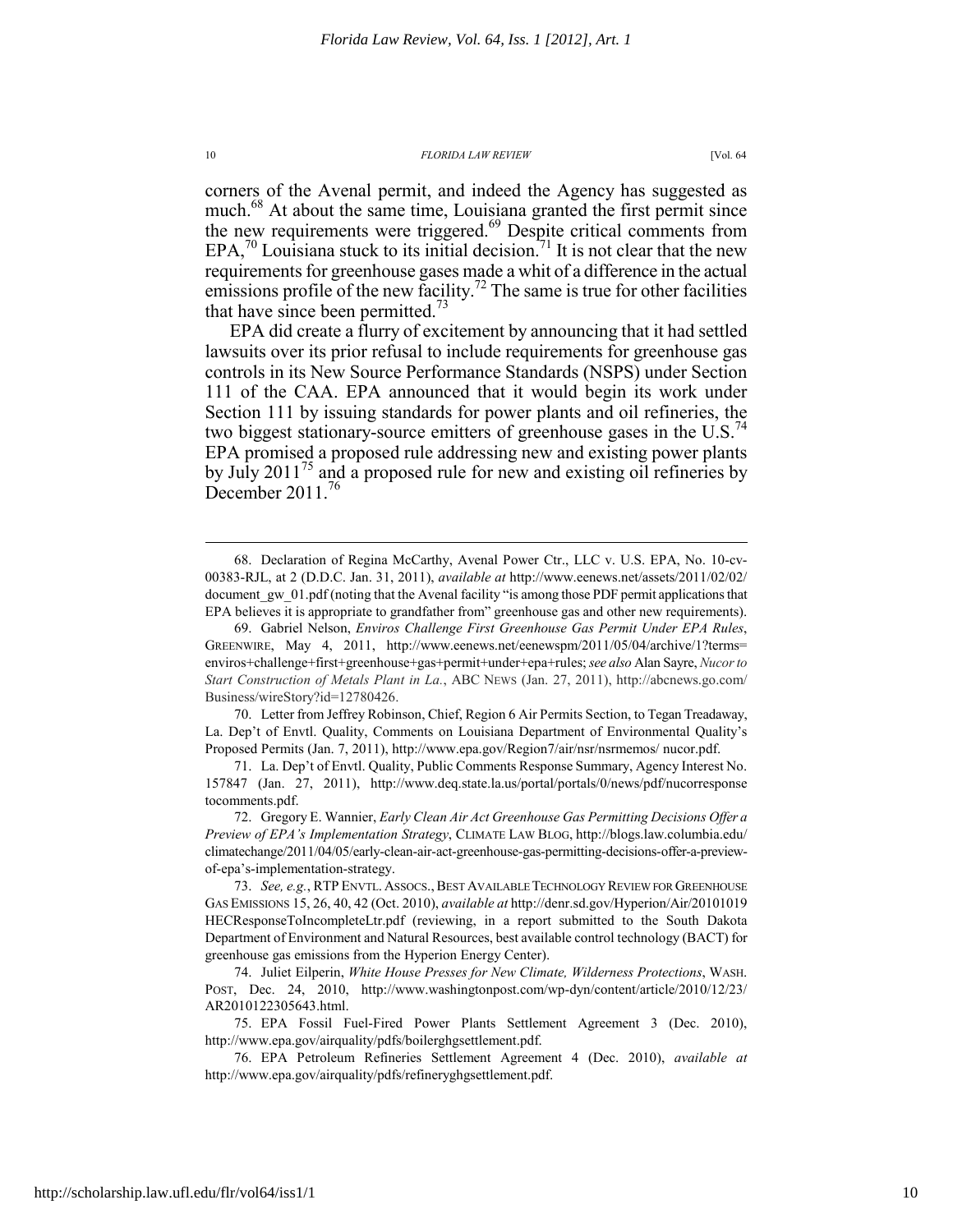corners of the Avenal permit, and indeed the Agency has suggested as much.68 At about the same time, Louisiana granted the first permit since the new requirements were triggered.<sup>69</sup> Despite critical comments from  $EPA<sub>1</sub><sup>70</sup>$  Louisiana stuck to its initial decision.<sup>71</sup> It is not clear that the new requirements for greenhouse gases made a whit of a difference in the actual emissions profile of the new facility.<sup>72</sup> The same is true for other facilities that have since been permitted.<sup>73</sup>

EPA did create a flurry of excitement by announcing that it had settled lawsuits over its prior refusal to include requirements for greenhouse gas controls in its New Source Performance Standards (NSPS) under Section 111 of the CAA. EPA announced that it would begin its work under Section 111 by issuing standards for power plants and oil refineries, the two biggest stationary-source emitters of greenhouse gases in the U.S.<sup>74</sup> EPA promised a proposed rule addressing new and existing power plants by July 2011<sup>75</sup> and a proposed rule for new and existing oil refineries by December 2011.<sup>76</sup>

 70. Letter from Jeffrey Robinson, Chief, Region 6 Air Permits Section, to Tegan Treadaway, La. Dep't of Envtl. Quality, Comments on Louisiana Department of Environmental Quality's Proposed Permits (Jan. 7, 2011), http://www.epa.gov/Region7/air/nsr/nsrmemos/ nucor.pdf.

 71. La. Dep't of Envtl. Quality, Public Comments Response Summary, Agency Interest No. 157847 (Jan. 27, 2011), http://www.deq.state.la.us/portal/portals/0/news/pdf/nucorresponse tocomments.pdf.

 72. Gregory E. Wannier, *Early Clean Air Act Greenhouse Gas Permitting Decisions Offer a Preview of EPA's Implementation Strategy*, CLIMATE LAW BLOG, http://blogs.law.columbia.edu/ climatechange/2011/04/05/early-clean-air-act-greenhouse-gas-permitting-decisions-offer-a-previewof-epa's-implementation-strategy.

 <sup>68.</sup> Declaration of Regina McCarthy, Avenal Power Ctr., LLC v. U.S. EPA, No. 10-cv-00383-RJL, at 2 (D.D.C. Jan. 31, 2011), *available at* http://www.eenews.net/assets/2011/02/02/ document gw 01.pdf (noting that the Avenal facility "is among those PDF permit applications that EPA believes it is appropriate to grandfather from" greenhouse gas and other new requirements).

 <sup>69.</sup> Gabriel Nelson, *Enviros Challenge First Greenhouse Gas Permit Under EPA Rules*, GREENWIRE, May 4, 2011, http://www.eenews.net/eenewspm/2011/05/04/archive/1?terms= enviros+challenge+first+greenhouse+gas+permit+under+epa+rules; *see also* Alan Sayre, *Nucor to Start Construction of Metals Plant in La.*, ABC NEWS (Jan. 27, 2011), http://abcnews.go.com/ Business/wireStory?id=12780426.

<sup>73.</sup> See, e.g., RTP ENVTL. ASSOCS., BEST AVAILABLE TECHNOLOGY REVIEW FOR GREENHOUSE GAS EMISSIONS 15, 26, 40, 42 (Oct. 2010), *available at* http://denr.sd.gov/Hyperion/Air/20101019 HECResponseToIncompleteLtr.pdf (reviewing, in a report submitted to the South Dakota Department of Environment and Natural Resources, best available control technology (BACT) for greenhouse gas emissions from the Hyperion Energy Center).

 <sup>74.</sup> Juliet Eilperin, *White House Presses for New Climate, Wilderness Protections*, WASH. POST, Dec. 24, 2010, http://www.washingtonpost.com/wp-dyn/content/article/2010/12/23/ AR2010122305643.html.

 <sup>75.</sup> EPA Fossil Fuel-Fired Power Plants Settlement Agreement 3 (Dec. 2010), http://www.epa.gov/airquality/pdfs/boilerghgsettlement.pdf.

 <sup>76.</sup> EPA Petroleum Refineries Settlement Agreement 4 (Dec. 2010), *available at* http://www.epa.gov/airquality/pdfs/refineryghgsettlement.pdf.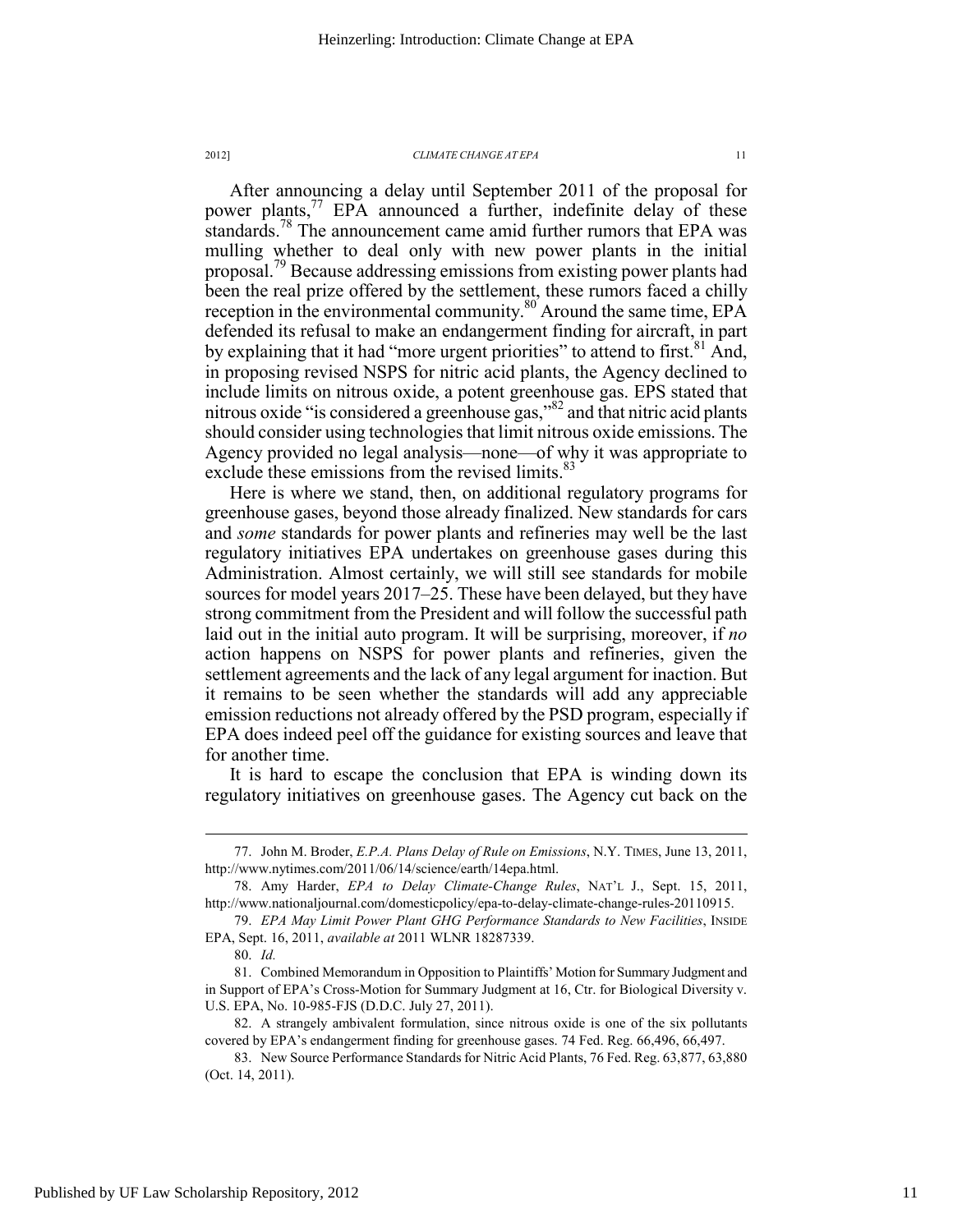After announcing a delay until September 2011 of the proposal for power plants,<sup>77</sup> EPA announced a further, indefinite delay of these standards.<sup>78</sup> The announcement came amid further rumors that EPA was mulling whether to deal only with new power plants in the initial proposal.79 Because addressing emissions from existing power plants had been the real prize offered by the settlement, these rumors faced a chilly reception in the environmental community.<sup>80</sup> Around the same time, EPA defended its refusal to make an endangerment finding for aircraft, in part by explaining that it had "more urgent priorities" to attend to first.<sup>81</sup> And, in proposing revised NSPS for nitric acid plants, the Agency declined to include limits on nitrous oxide, a potent greenhouse gas. EPS stated that nitrous oxide "is considered a greenhouse gas,"82 and that nitric acid plants should consider using technologies that limit nitrous oxide emissions. The Agency provided no legal analysis—none—of why it was appropriate to exclude these emissions from the revised limits.<sup>83</sup>

Here is where we stand, then, on additional regulatory programs for greenhouse gases, beyond those already finalized. New standards for cars and *some* standards for power plants and refineries may well be the last regulatory initiatives EPA undertakes on greenhouse gases during this Administration. Almost certainly, we will still see standards for mobile sources for model years 2017–25. These have been delayed, but they have strong commitment from the President and will follow the successful path laid out in the initial auto program. It will be surprising, moreover, if *no* action happens on NSPS for power plants and refineries, given the settlement agreements and the lack of any legal argument for inaction. But it remains to be seen whether the standards will add any appreciable emission reductions not already offered by the PSD program, especially if EPA does indeed peel off the guidance for existing sources and leave that for another time.

It is hard to escape the conclusion that EPA is winding down its regulatory initiatives on greenhouse gases. The Agency cut back on the

 <sup>77.</sup> John M. Broder, *E.P.A. Plans Delay of Rule on Emissions*, N.Y. TIMES, June 13, 2011, http://www.nytimes.com/2011/06/14/science/earth/14epa.html.

 <sup>78.</sup> Amy Harder, *EPA to Delay Climate-Change Rules*, NAT'L J., Sept. 15, 2011, http://www.nationaljournal.com/domesticpolicy/epa-to-delay-climate-change-rules-20110915.

 <sup>79.</sup> *EPA May Limit Power Plant GHG Performance Standards to New Facilities*, INSIDE EPA, Sept. 16, 2011, *available at* 2011 WLNR 18287339.

 <sup>80.</sup> *Id.*

 <sup>81.</sup> Combined Memorandum in Opposition to Plaintiffs' Motion for Summary Judgment and in Support of EPA's Cross-Motion for Summary Judgment at 16, Ctr. for Biological Diversity v. U.S. EPA, No. 10-985-FJS (D.D.C. July 27, 2011).

 <sup>82.</sup> A strangely ambivalent formulation, since nitrous oxide is one of the six pollutants covered by EPA's endangerment finding for greenhouse gases. 74 Fed. Reg. 66,496, 66,497.

 <sup>83.</sup> New Source Performance Standards for Nitric Acid Plants, 76 Fed. Reg. 63,877, 63,880 (Oct. 14, 2011).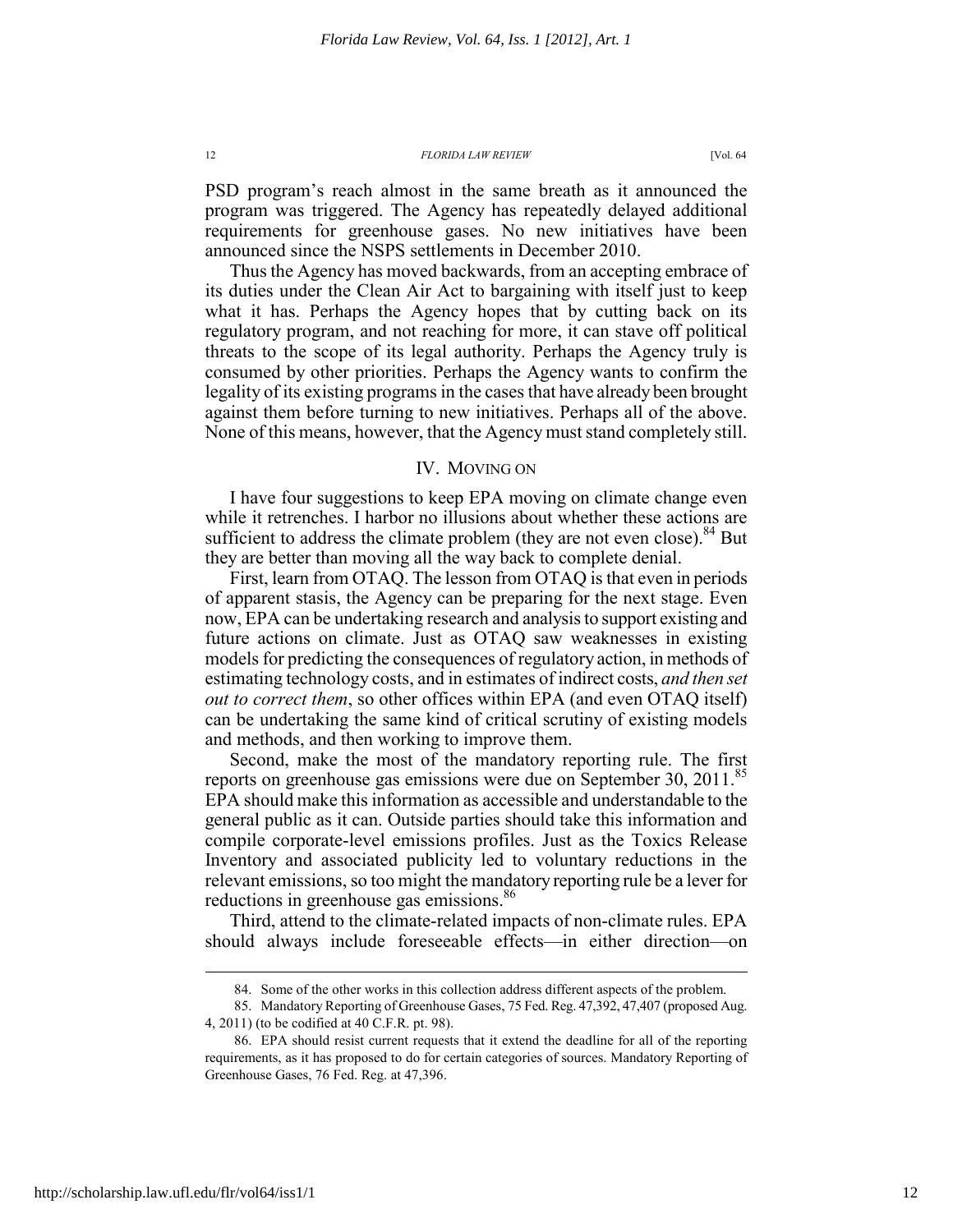PSD program's reach almost in the same breath as it announced the program was triggered. The Agency has repeatedly delayed additional requirements for greenhouse gases. No new initiatives have been announced since the NSPS settlements in December 2010.

Thus the Agency has moved backwards, from an accepting embrace of its duties under the Clean Air Act to bargaining with itself just to keep what it has. Perhaps the Agency hopes that by cutting back on its regulatory program, and not reaching for more, it can stave off political threats to the scope of its legal authority. Perhaps the Agency truly is consumed by other priorities. Perhaps the Agency wants to confirm the legality of its existing programs in the cases that have already been brought against them before turning to new initiatives. Perhaps all of the above. None of this means, however, that the Agency must stand completely still.

# IV. MOVING ON

I have four suggestions to keep EPA moving on climate change even while it retrenches. I harbor no illusions about whether these actions are sufficient to address the climate problem (they are not even close). $84$  But they are better than moving all the way back to complete denial.

First, learn from OTAQ. The lesson from OTAQ is that even in periods of apparent stasis, the Agency can be preparing for the next stage. Even now, EPA can be undertaking research and analysis to support existing and future actions on climate. Just as OTAQ saw weaknesses in existing models for predicting the consequences of regulatory action, in methods of estimating technology costs, and in estimates of indirect costs, *and then set out to correct them*, so other offices within EPA (and even OTAQ itself) can be undertaking the same kind of critical scrutiny of existing models and methods, and then working to improve them.

Second, make the most of the mandatory reporting rule. The first reports on greenhouse gas emissions were due on September 30, 2011.<sup>85</sup> EPA should make this information as accessible and understandable to the general public as it can. Outside parties should take this information and compile corporate-level emissions profiles. Just as the Toxics Release Inventory and associated publicity led to voluntary reductions in the relevant emissions, so too might the mandatory reporting rule be a lever for reductions in greenhouse gas emissions.<sup>86</sup>

Third, attend to the climate-related impacts of non-climate rules. EPA should always include foreseeable effects—in either direction—on

 <sup>84.</sup> Some of the other works in this collection address different aspects of the problem.

 <sup>85.</sup> Mandatory Reporting of Greenhouse Gases, 75 Fed. Reg. 47,392, 47,407 (proposed Aug. 4, 2011) (to be codified at 40 C.F.R. pt. 98).

 <sup>86.</sup> EPA should resist current requests that it extend the deadline for all of the reporting requirements, as it has proposed to do for certain categories of sources. Mandatory Reporting of Greenhouse Gases, 76 Fed. Reg. at 47,396.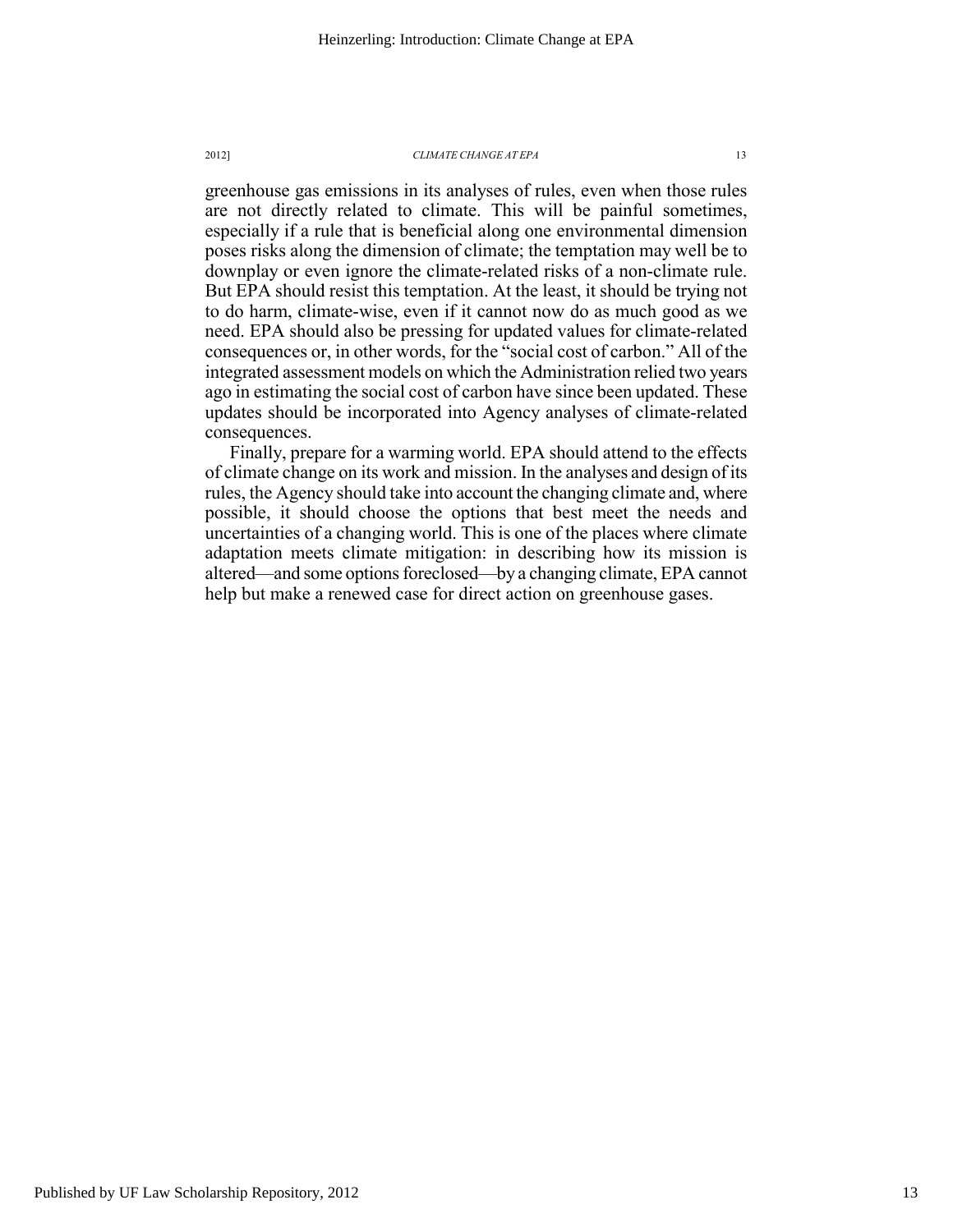greenhouse gas emissions in its analyses of rules, even when those rules are not directly related to climate. This will be painful sometimes, especially if a rule that is beneficial along one environmental dimension poses risks along the dimension of climate; the temptation may well be to downplay or even ignore the climate-related risks of a non-climate rule. But EPA should resist this temptation. At the least, it should be trying not to do harm, climate-wise, even if it cannot now do as much good as we need. EPA should also be pressing for updated values for climate-related consequences or, in other words, for the "social cost of carbon." All of the integrated assessment models on which the Administration relied two years ago in estimating the social cost of carbon have since been updated. These updates should be incorporated into Agency analyses of climate-related consequences.

Finally, prepare for a warming world. EPA should attend to the effects of climate change on its work and mission. In the analyses and design of its rules, the Agency should take into account the changing climate and, where possible, it should choose the options that best meet the needs and uncertainties of a changing world. This is one of the places where climate adaptation meets climate mitigation: in describing how its mission is altered—and some options foreclosed—by a changing climate, EPA cannot help but make a renewed case for direct action on greenhouse gases.